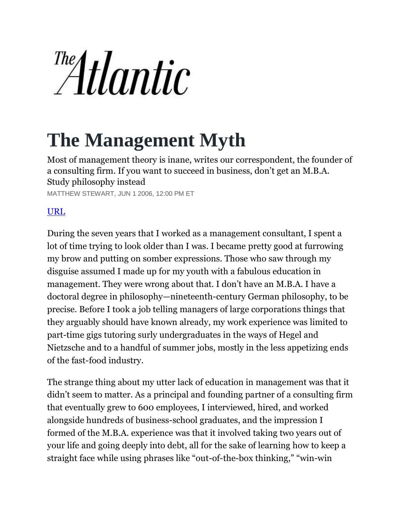## The Atlantic

## **The Management Myth**

Most of management theory is inane, writes our correspondent, the founder of a consulting firm. If you want to succeed in business, don't get an M.B.A. Study philosophy instead

[MATTHEW STEWART,](http://www.theatlantic.com/matthew-stewart/) JUN 1 2006, 12:00 PM ET

## [URL](http://www.theatlantic.com/magazine/archive/2006/06/the-management-myth/304883/?single_page=true)

During the seven years that I worked as a management consultant, I spent a lot of time trying to look older than I was. I became pretty good at furrowing my brow and putting on somber expressions. Those who saw through my disguise assumed I made up for my youth with a fabulous education in management. They were wrong about that. I don't have an M.B.A. I have a doctoral degree in philosophy—nineteenth-century German philosophy, to be precise. Before I took a job telling managers of large corporations things that they arguably should have known already, my work experience was limited to part-time gigs tutoring surly undergraduates in the ways of Hegel and Nietzsche and to a handful of summer jobs, mostly in the less appetizing ends of the fast-food industry.

The strange thing about my utter lack of education in management was that it didn't seem to matter. As a principal and founding partner of a consulting firm that eventually grew to 600 employees, I interviewed, hired, and worked alongside hundreds of business-school graduates, and the impression I formed of the M.B.A. experience was that it involved taking two years out of your life and going deeply into debt, all for the sake of learning how to keep a straight face while using phrases like "out-of-the-box thinking," "win-win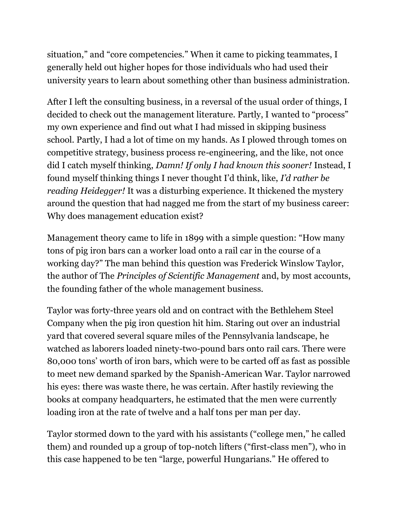situation," and "core competencies." When it came to picking teammates, I generally held out higher hopes for those individuals who had used their university years to learn about something other than business administration.

After I left the consulting business, in a reversal of the usual order of things, I decided to check out the management literature. Partly, I wanted to "process" my own experience and find out what I had missed in skipping business school. Partly, I had a lot of time on my hands. As I plowed through tomes on competitive strategy, business process re-engineering, and the like, not once did I catch myself thinking, *Damn! If only I had known this sooner!* Instead, I found myself thinking things I never thought I'd think, like, *I'd rather be reading Heidegger!* It was a disturbing experience. It thickened the mystery around the question that had nagged me from the start of my business career: Why does management education exist?

Management theory came to life in 1899 with a simple question: "How many tons of pig iron bars can a worker load onto a rail car in the course of a working day?" The man behind this question was Frederick Winslow Taylor, the author of The *Principles of Scientific Management* and, by most accounts, the founding father of the whole management business.

Taylor was forty-three years old and on contract with the Bethlehem Steel Company when the pig iron question hit him. Staring out over an industrial yard that covered several square miles of the Pennsylvania landscape, he watched as laborers loaded ninety-two-pound bars onto rail cars. There were 80,000 tons' worth of iron bars, which were to be carted off as fast as possible to meet new demand sparked by the Spanish-American War. Taylor narrowed his eyes: there was waste there, he was certain. After hastily reviewing the books at company headquarters, he estimated that the men were currently loading iron at the rate of twelve and a half tons per man per day.

Taylor stormed down to the yard with his assistants ("college men," he called them) and rounded up a group of top-notch lifters ("first-class men"), who in this case happened to be ten "large, powerful Hungarians." He offered to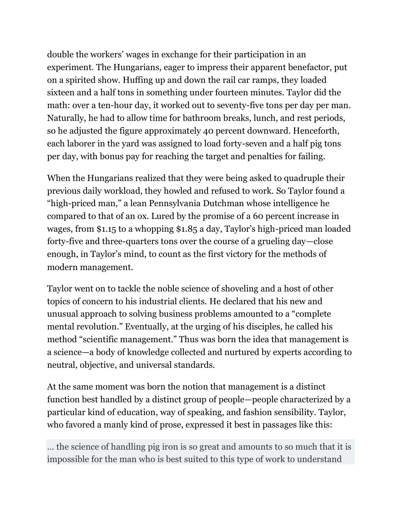double the workers' wages in exchange for their participation in an experiment. The Hungarians, eager to impress their apparent benefactor, put on a spirited show. Huffing up and down the rail car ramps, they loaded sixteen and a half tons in something under fourteen minutes. Taylor did the math: over a ten-hour day, it worked out to seventy-five tons per day per man. Naturally, he had to allow time for bathroom breaks, lunch, and rest periods, so he adjusted the figure approximately 40 percent downward. Henceforth, each laborer in the yard was assigned to load forty-seven and a half pig tons per day, with bonus pay for reaching the target and penalties for failing.

When the Hungarians realized that they were being asked to quadruple their previous daily workload, they howled and refused to work. So Taylor found a "high-priced man," a lean Pennsylvania Dutchman whose intelligence he compared to that of an ox. Lured by the promise of a 60 percent increase in wages, from \$1.15 to a whopping \$1.85 a day, Taylor's high-priced man loaded forty-five and three-quarters tons over the course of a grueling day—close enough, in Taylor's mind, to count as the first victory for the methods of modern management.

Taylor went on to tackle the noble science of shoveling and a host of other topics of concern to his industrial clients. He declared that his new and unusual approach to solving business problems amounted to a "complete mental revolution." Eventually, at the urging of his disciples, he called his method "scientific management." Thus was born the idea that management is a science—a body of knowledge collected and nurtured by experts according to neutral, objective, and universal standards.

At the same moment was born the notion that management is a distinct function best handled by a distinct group of people—people characterized by a particular kind of education, way of speaking, and fashion sensibility. Taylor, who favored a manly kind of prose, expressed it best in passages like this:

… the science of handling pig iron is so great and amounts to so much that it is impossible for the man who is best suited to this type of work to understand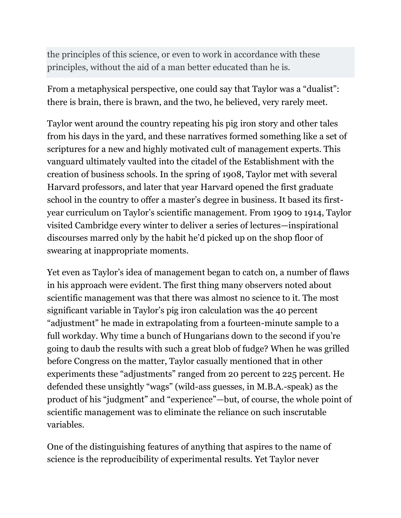the principles of this science, or even to work in accordance with these principles, without the aid of a man better educated than he is.

From a metaphysical perspective, one could say that Taylor was a "dualist": there is brain, there is brawn, and the two, he believed, very rarely meet.

Taylor went around the country repeating his pig iron story and other tales from his days in the yard, and these narratives formed something like a set of scriptures for a new and highly motivated cult of management experts. This vanguard ultimately vaulted into the citadel of the Establishment with the creation of business schools. In the spring of 1908, Taylor met with several Harvard professors, and later that year Harvard opened the first graduate school in the country to offer a master's degree in business. It based its firstyear curriculum on Taylor's scientific management. From 1909 to 1914, Taylor visited Cambridge every winter to deliver a series of lectures—inspirational discourses marred only by the habit he'd picked up on the shop floor of swearing at inappropriate moments.

Yet even as Taylor's idea of management began to catch on, a number of flaws in his approach were evident. The first thing many observers noted about scientific management was that there was almost no science to it. The most significant variable in Taylor's pig iron calculation was the 40 percent "adjustment" he made in extrapolating from a fourteen-minute sample to a full workday. Why time a bunch of Hungarians down to the second if you're going to daub the results with such a great blob of fudge? When he was grilled before Congress on the matter, Taylor casually mentioned that in other experiments these "adjustments" ranged from 20 percent to 225 percent. He defended these unsightly "wags" (wild-ass guesses, in M.B.A.-speak) as the product of his "judgment" and "experience"—but, of course, the whole point of scientific management was to eliminate the reliance on such inscrutable variables.

One of the distinguishing features of anything that aspires to the name of science is the reproducibility of experimental results. Yet Taylor never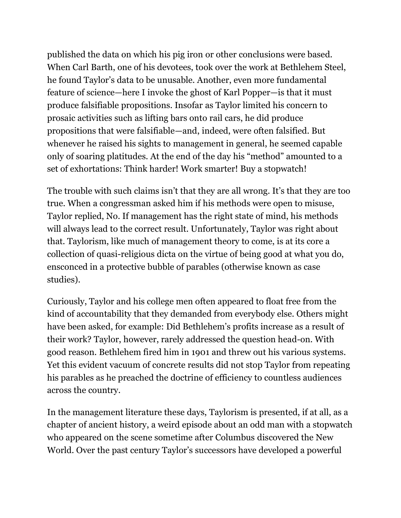published the data on which his pig iron or other conclusions were based. When Carl Barth, one of his devotees, took over the work at Bethlehem Steel, he found Taylor's data to be unusable. Another, even more fundamental feature of science—here I invoke the ghost of Karl Popper—is that it must produce falsifiable propositions. Insofar as Taylor limited his concern to prosaic activities such as lifting bars onto rail cars, he did produce propositions that were falsifiable—and, indeed, were often falsified. But whenever he raised his sights to management in general, he seemed capable only of soaring platitudes. At the end of the day his "method" amounted to a set of exhortations: Think harder! Work smarter! Buy a stopwatch!

The trouble with such claims isn't that they are all wrong. It's that they are too true. When a congressman asked him if his methods were open to misuse, Taylor replied, No. If management has the right state of mind, his methods will always lead to the correct result. Unfortunately, Taylor was right about that. Taylorism, like much of management theory to come, is at its core a collection of quasi-religious dicta on the virtue of being good at what you do, ensconced in a protective bubble of parables (otherwise known as case studies).

Curiously, Taylor and his college men often appeared to float free from the kind of accountability that they demanded from everybody else. Others might have been asked, for example: Did Bethlehem's profits increase as a result of their work? Taylor, however, rarely addressed the question head-on. With good reason. Bethlehem fired him in 1901 and threw out his various systems. Yet this evident vacuum of concrete results did not stop Taylor from repeating his parables as he preached the doctrine of efficiency to countless audiences across the country.

In the management literature these days, Taylorism is presented, if at all, as a chapter of ancient history, a weird episode about an odd man with a stopwatch who appeared on the scene sometime after Columbus discovered the New World. Over the past century Taylor's successors have developed a powerful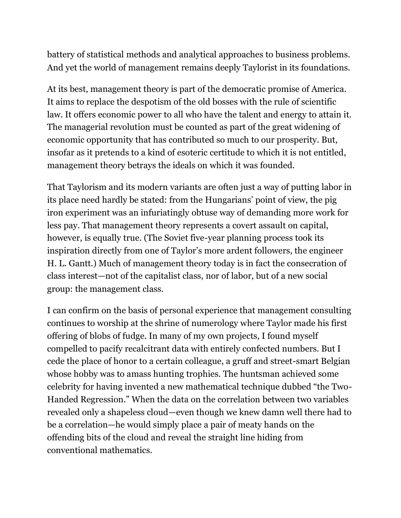battery of statistical methods and analytical approaches to business problems. And yet the world of management remains deeply Taylorist in its foundations.

At its best, management theory is part of the democratic promise of America. It aims to replace the despotism of the old bosses with the rule of scientific law. It offers economic power to all who have the talent and energy to attain it. The managerial revolution must be counted as part of the great widening of economic opportunity that has contributed so much to our prosperity. But, insofar as it pretends to a kind of esoteric certitude to which it is not entitled, management theory betrays the ideals on which it was founded.

That Taylorism and its modern variants are often just a way of putting labor in its place need hardly be stated: from the Hungarians' point of view, the pig iron experiment was an infuriatingly obtuse way of demanding more work for less pay. That management theory represents a covert assault on capital, however, is equally true. (The Soviet five-year planning process took its inspiration directly from one of Taylor's more ardent followers, the engineer H. L. Gantt.) Much of management theory today is in fact the consecration of class interest—not of the capitalist class, nor of labor, but of a new social group: the management class.

I can confirm on the basis of personal experience that management consulting continues to worship at the shrine of numerology where Taylor made his first offering of blobs of fudge. In many of my own projects, I found myself compelled to pacify recalcitrant data with entirely confected numbers. But I cede the place of honor to a certain colleague, a gruff and street-smart Belgian whose hobby was to amass hunting trophies. The huntsman achieved some celebrity for having invented a new mathematical technique dubbed "the Two-Handed Regression." When the data on the correlation between two variables revealed only a shapeless cloud—even though we knew damn well there had to be a correlation—he would simply place a pair of meaty hands on the offending bits of the cloud and reveal the straight line hiding from conventional mathematics.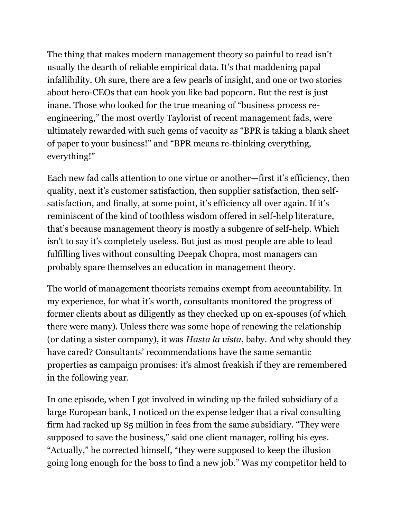The thing that makes modern management theory so painful to read isn't usually the dearth of reliable empirical data. It's that maddening papal infallibility. Oh sure, there are a few pearls of insight, and one or two stories about hero-CEOs that can hook you like bad popcorn. But the rest is just inane. Those who looked for the true meaning of "business process reengineering," the most overtly Taylorist of recent management fads, were ultimately rewarded with such gems of vacuity as "BPR is taking a blank sheet of paper to your business!" and "BPR means re-thinking everything, everything!"

Each new fad calls attention to one virtue or another—first it's efficiency, then quality, next it's customer satisfaction, then supplier satisfaction, then selfsatisfaction, and finally, at some point, it's efficiency all over again. If it's reminiscent of the kind of toothless wisdom offered in self-help literature, that's because management theory is mostly a subgenre of self-help. Which isn't to say it's completely useless. But just as most people are able to lead fulfilling lives without consulting Deepak Chopra, most managers can probably spare themselves an education in management theory.

The world of management theorists remains exempt from accountability. In my experience, for what it's worth, consultants monitored the progress of former clients about as diligently as they checked up on ex-spouses (of which there were many). Unless there was some hope of renewing the relationship (or dating a sister company), it was *Hasta la vista*, baby. And why should they have cared? Consultants' recommendations have the same semantic properties as campaign promises: it's almost freakish if they are remembered in the following year.

In one episode, when I got involved in winding up the failed subsidiary of a large European bank, I noticed on the expense ledger that a rival consulting firm had racked up \$5 million in fees from the same subsidiary. "They were supposed to save the business," said one client manager, rolling his eyes. "Actually," he corrected himself, "they were supposed to keep the illusion going long enough for the boss to find a new job." Was my competitor held to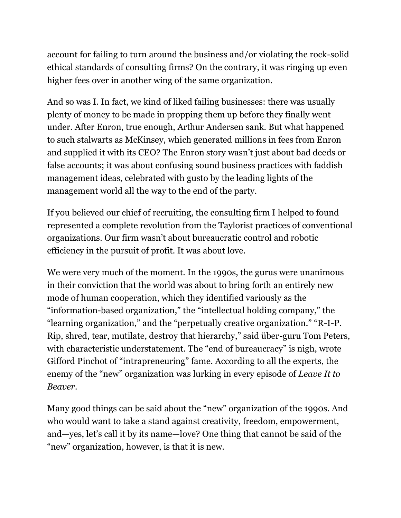account for failing to turn around the business and/or violating the rock-solid ethical standards of consulting firms? On the contrary, it was ringing up even higher fees over in another wing of the same organization.

And so was I. In fact, we kind of liked failing businesses: there was usually plenty of money to be made in propping them up before they finally went under. After Enron, true enough, Arthur Andersen sank. But what happened to such stalwarts as McKinsey, which generated millions in fees from Enron and supplied it with its CEO? The Enron story wasn't just about bad deeds or false accounts; it was about confusing sound business practices with faddish management ideas, celebrated with gusto by the leading lights of the management world all the way to the end of the party.

If you believed our chief of recruiting, the consulting firm I helped to found represented a complete revolution from the Taylorist practices of conventional organizations. Our firm wasn't about bureaucratic control and robotic efficiency in the pursuit of profit. It was about love.

We were very much of the moment. In the 1990s, the gurus were unanimous in their conviction that the world was about to bring forth an entirely new mode of human cooperation, which they identified variously as the "information-based organization," the "intellectual holding company," the "learning organization," and the "perpetually creative organization." "R-I-P. Rip, shred, tear, mutilate, destroy that hierarchy," said über-guru Tom Peters, with characteristic understatement. The "end of bureaucracy" is nigh, wrote Gifford Pinchot of "intrapreneuring" fame. According to all the experts, the enemy of the "new" organization was lurking in every episode of *Leave It to Beaver*.

Many good things can be said about the "new" organization of the 1990s. And who would want to take a stand against creativity, freedom, empowerment, and—yes, let's call it by its name—love? One thing that cannot be said of the "new" organization, however, is that it is new.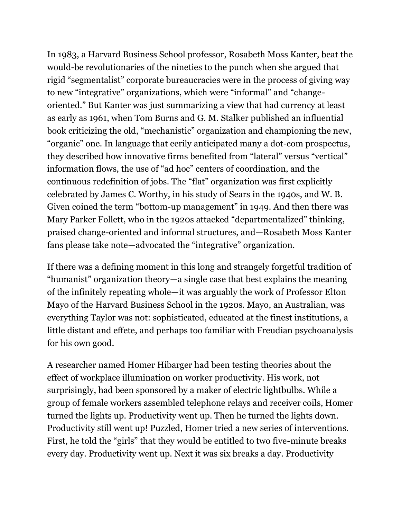In 1983, a Harvard Business School professor, Rosabeth Moss Kanter, beat the would-be revolutionaries of the nineties to the punch when she argued that rigid "segmentalist" corporate bureaucracies were in the process of giving way to new "integrative" organizations, which were "informal" and "changeoriented." But Kanter was just summarizing a view that had currency at least as early as 1961, when Tom Burns and G. M. Stalker published an influential book criticizing the old, "mechanistic" organization and championing the new, "organic" one. In language that eerily anticipated many a dot-com prospectus, they described how innovative firms benefited from "lateral" versus "vertical" information flows, the use of "ad hoc" centers of coordination, and the continuous redefinition of jobs. The "flat" organization was first explicitly celebrated by James C. Worthy, in his study of Sears in the 1940s, and W. B. Given coined the term "bottom-up management" in 1949. And then there was Mary Parker Follett, who in the 1920s attacked "departmentalized" thinking, praised change-oriented and informal structures, and—Rosabeth Moss Kanter fans please take note—advocated the "integrative" organization.

If there was a defining moment in this long and strangely forgetful tradition of "humanist" organization theory—a single case that best explains the meaning of the infinitely repeating whole—it was arguably the work of Professor Elton Mayo of the Harvard Business School in the 1920s. Mayo, an Australian, was everything Taylor was not: sophisticated, educated at the finest institutions, a little distant and effete, and perhaps too familiar with Freudian psychoanalysis for his own good.

A researcher named Homer Hibarger had been testing theories about the effect of workplace illumination on worker productivity. His work, not surprisingly, had been sponsored by a maker of electric lightbulbs. While a group of female workers assembled telephone relays and receiver coils, Homer turned the lights up. Productivity went up. Then he turned the lights down. Productivity still went up! Puzzled, Homer tried a new series of interventions. First, he told the "girls" that they would be entitled to two five-minute breaks every day. Productivity went up. Next it was six breaks a day. Productivity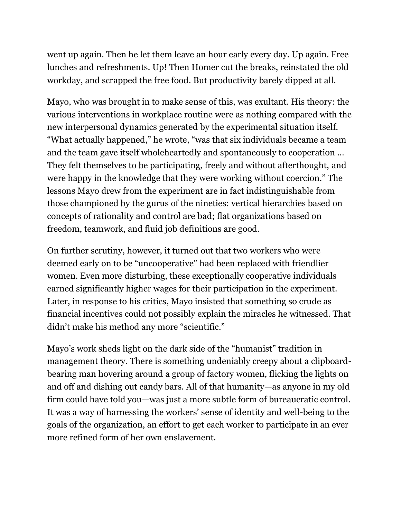went up again. Then he let them leave an hour early every day. Up again. Free lunches and refreshments. Up! Then Homer cut the breaks, reinstated the old workday, and scrapped the free food. But productivity barely dipped at all.

Mayo, who was brought in to make sense of this, was exultant. His theory: the various interventions in workplace routine were as nothing compared with the new interpersonal dynamics generated by the experimental situation itself. "What actually happened," he wrote, "was that six individuals became a team and the team gave itself wholeheartedly and spontaneously to cooperation … They felt themselves to be participating, freely and without afterthought, and were happy in the knowledge that they were working without coercion." The lessons Mayo drew from the experiment are in fact indistinguishable from those championed by the gurus of the nineties: vertical hierarchies based on concepts of rationality and control are bad; flat organizations based on freedom, teamwork, and fluid job definitions are good.

On further scrutiny, however, it turned out that two workers who were deemed early on to be "uncooperative" had been replaced with friendlier women. Even more disturbing, these exceptionally cooperative individuals earned significantly higher wages for their participation in the experiment. Later, in response to his critics, Mayo insisted that something so crude as financial incentives could not possibly explain the miracles he witnessed. That didn't make his method any more "scientific."

Mayo's work sheds light on the dark side of the "humanist" tradition in management theory. There is something undeniably creepy about a clipboardbearing man hovering around a group of factory women, flicking the lights on and off and dishing out candy bars. All of that humanity—as anyone in my old firm could have told you—was just a more subtle form of bureaucratic control. It was a way of harnessing the workers' sense of identity and well-being to the goals of the organization, an effort to get each worker to participate in an ever more refined form of her own enslavement.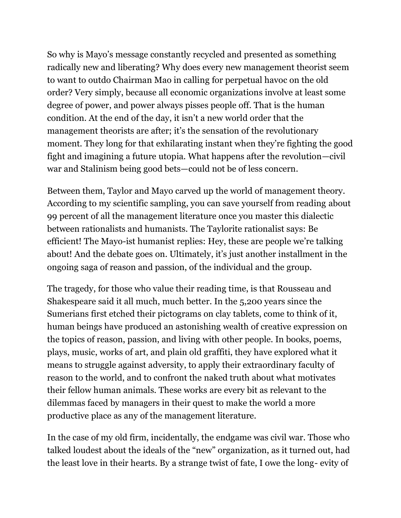So why is Mayo's message constantly recycled and presented as something radically new and liberating? Why does every new management theorist seem to want to outdo Chairman Mao in calling for perpetual havoc on the old order? Very simply, because all economic organizations involve at least some degree of power, and power always pisses people off. That is the human condition. At the end of the day, it isn't a new world order that the management theorists are after; it's the sensation of the revolutionary moment. They long for that exhilarating instant when they're fighting the good fight and imagining a future utopia. What happens after the revolution—civil war and Stalinism being good bets—could not be of less concern.

Between them, Taylor and Mayo carved up the world of management theory. According to my scientific sampling, you can save yourself from reading about 99 percent of all the management literature once you master this dialectic between rationalists and humanists. The Taylorite rationalist says: Be efficient! The Mayo-ist humanist replies: Hey, these are people we're talking about! And the debate goes on. Ultimately, it's just another installment in the ongoing saga of reason and passion, of the individual and the group.

The tragedy, for those who value their reading time, is that Rousseau and Shakespeare said it all much, much better. In the 5,200 years since the Sumerians first etched their pictograms on clay tablets, come to think of it, human beings have produced an astonishing wealth of creative expression on the topics of reason, passion, and living with other people. In books, poems, plays, music, works of art, and plain old graffiti, they have explored what it means to struggle against adversity, to apply their extraordinary faculty of reason to the world, and to confront the naked truth about what motivates their fellow human animals. These works are every bit as relevant to the dilemmas faced by managers in their quest to make the world a more productive place as any of the management literature.

In the case of my old firm, incidentally, the endgame was civil war. Those who talked loudest about the ideals of the "new" organization, as it turned out, had the least love in their hearts. By a strange twist of fate, I owe the long- evity of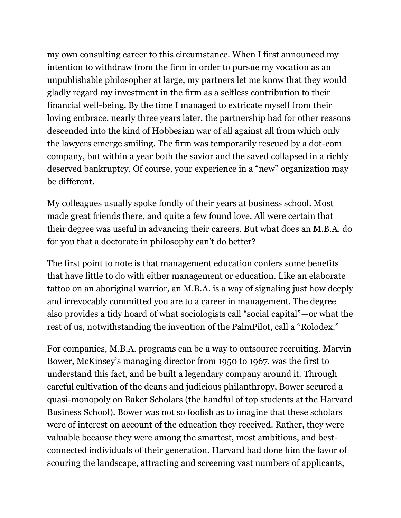my own consulting career to this circumstance. When I first announced my intention to withdraw from the firm in order to pursue my vocation as an unpublishable philosopher at large, my partners let me know that they would gladly regard my investment in the firm as a selfless contribution to their financial well-being. By the time I managed to extricate myself from their loving embrace, nearly three years later, the partnership had for other reasons descended into the kind of Hobbesian war of all against all from which only the lawyers emerge smiling. The firm was temporarily rescued by a dot-com company, but within a year both the savior and the saved collapsed in a richly deserved bankruptcy. Of course, your experience in a "new" organization may be different.

My colleagues usually spoke fondly of their years at business school. Most made great friends there, and quite a few found love. All were certain that their degree was useful in advancing their careers. But what does an M.B.A. do for you that a doctorate in philosophy can't do better?

The first point to note is that management education confers some benefits that have little to do with either management or education. Like an elaborate tattoo on an aboriginal warrior, an M.B.A. is a way of signaling just how deeply and irrevocably committed you are to a career in management. The degree also provides a tidy hoard of what sociologists call "social capital"—or what the rest of us, notwithstanding the invention of the PalmPilot, call a "Rolodex."

For companies, M.B.A. programs can be a way to outsource recruiting. Marvin Bower, McKinsey's managing director from 1950 to 1967, was the first to understand this fact, and he built a legendary company around it. Through careful cultivation of the deans and judicious philanthropy, Bower secured a quasi-monopoly on Baker Scholars (the handful of top students at the Harvard Business School). Bower was not so foolish as to imagine that these scholars were of interest on account of the education they received. Rather, they were valuable because they were among the smartest, most ambitious, and bestconnected individuals of their generation. Harvard had done him the favor of scouring the landscape, attracting and screening vast numbers of applicants,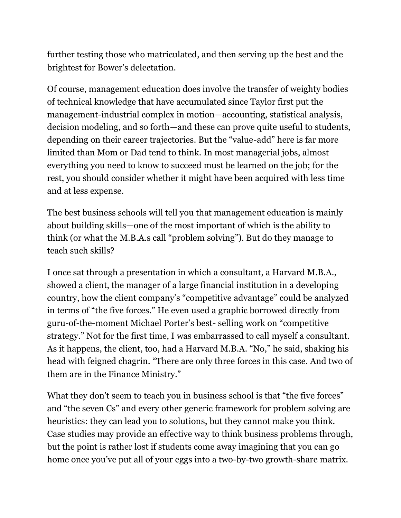further testing those who matriculated, and then serving up the best and the brightest for Bower's delectation.

Of course, management education does involve the transfer of weighty bodies of technical knowledge that have accumulated since Taylor first put the management-industrial complex in motion—accounting, statistical analysis, decision modeling, and so forth—and these can prove quite useful to students, depending on their career trajectories. But the "value-add" here is far more limited than Mom or Dad tend to think. In most managerial jobs, almost everything you need to know to succeed must be learned on the job; for the rest, you should consider whether it might have been acquired with less time and at less expense.

The best business schools will tell you that management education is mainly about building skills—one of the most important of which is the ability to think (or what the M.B.A.s call "problem solving"). But do they manage to teach such skills?

I once sat through a presentation in which a consultant, a Harvard M.B.A., showed a client, the manager of a large financial institution in a developing country, how the client company's "competitive advantage" could be analyzed in terms of "the five forces." He even used a graphic borrowed directly from guru-of-the-moment Michael Porter's best- selling work on "competitive strategy." Not for the first time, I was embarrassed to call myself a consultant. As it happens, the client, too, had a Harvard M.B.A. "No," he said, shaking his head with feigned chagrin. "There are only three forces in this case. And two of them are in the Finance Ministry."

What they don't seem to teach you in business school is that "the five forces" and "the seven Cs" and every other generic framework for problem solving are heuristics: they can lead you to solutions, but they cannot make you think. Case studies may provide an effective way to think business problems through, but the point is rather lost if students come away imagining that you can go home once you've put all of your eggs into a two-by-two growth-share matrix.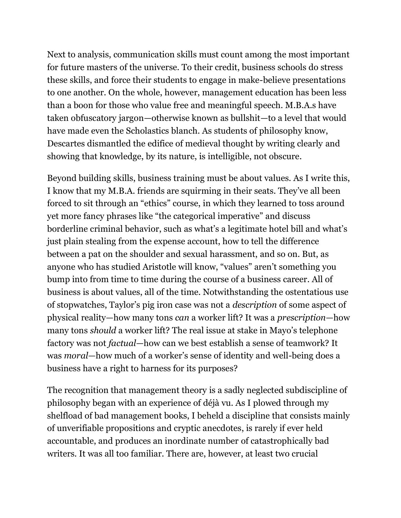Next to analysis, communication skills must count among the most important for future masters of the universe. To their credit, business schools do stress these skills, and force their students to engage in make-believe presentations to one another. On the whole, however, management education has been less than a boon for those who value free and meaningful speech. M.B.A.s have taken obfuscatory jargon—otherwise known as bullshit—to a level that would have made even the Scholastics blanch. As students of philosophy know, Descartes dismantled the edifice of medieval thought by writing clearly and showing that knowledge, by its nature, is intelligible, not obscure.

Beyond building skills, business training must be about values. As I write this, I know that my M.B.A. friends are squirming in their seats. They've all been forced to sit through an "ethics" course, in which they learned to toss around yet more fancy phrases like "the categorical imperative" and discuss borderline criminal behavior, such as what's a legitimate hotel bill and what's just plain stealing from the expense account, how to tell the difference between a pat on the shoulder and sexual harassment, and so on. But, as anyone who has studied Aristotle will know, "values" aren't something you bump into from time to time during the course of a business career. All of business is about values, all of the time. Notwithstanding the ostentatious use of stopwatches, Taylor's pig iron case was not a *description* of some aspect of physical reality—how many tons *can* a worker lift? It was a *prescription*—how many tons *should* a worker lift? The real issue at stake in Mayo's telephone factory was not *factual*—how can we best establish a sense of teamwork? It was *moral*—how much of a worker's sense of identity and well-being does a business have a right to harness for its purposes?

The recognition that management theory is a sadly neglected subdiscipline of philosophy began with an experience of déjà vu. As I plowed through my shelfload of bad management books, I beheld a discipline that consists mainly of unverifiable propositions and cryptic anecdotes, is rarely if ever held accountable, and produces an inordinate number of catastrophically bad writers. It was all too familiar. There are, however, at least two crucial